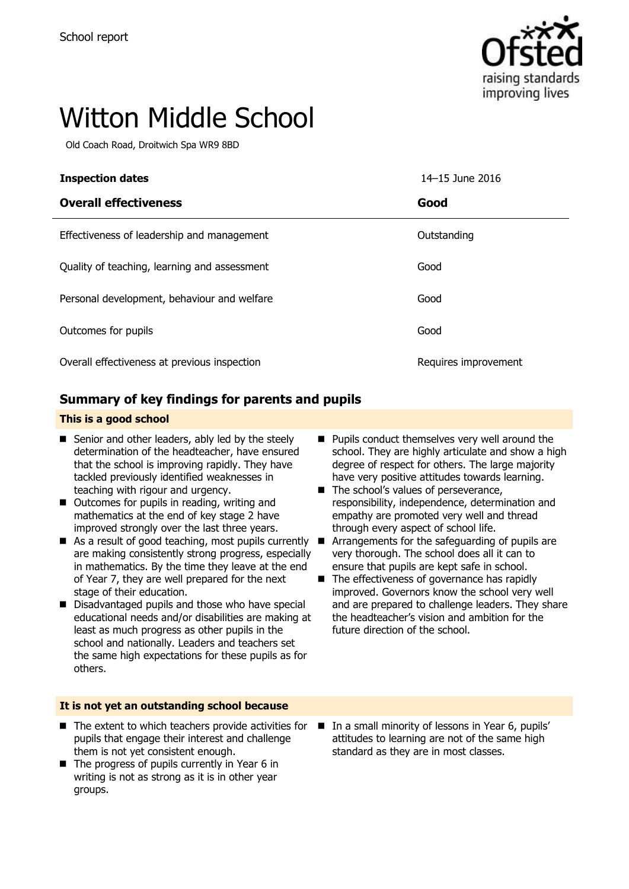

# Witton Middle School

Old Coach Road, Droitwich Spa WR9 8BD

| <b>Inspection dates</b>                      | 14-15 June 2016      |
|----------------------------------------------|----------------------|
| <b>Overall effectiveness</b>                 | Good                 |
| Effectiveness of leadership and management   | Outstanding          |
| Quality of teaching, learning and assessment | Good                 |
| Personal development, behaviour and welfare  | Good                 |
| Outcomes for pupils                          | Good                 |
| Overall effectiveness at previous inspection | Requires improvement |

### **Summary of key findings for parents and pupils**

### **This is a good school**

- Senior and other leaders, ably led by the steely determination of the headteacher, have ensured that the school is improving rapidly. They have tackled previously identified weaknesses in teaching with rigour and urgency.
- Outcomes for pupils in reading, writing and mathematics at the end of key stage 2 have improved strongly over the last three years.
- As a result of good teaching, most pupils currently are making consistently strong progress, especially in mathematics. By the time they leave at the end of Year 7, they are well prepared for the next stage of their education.
- Disadvantaged pupils and those who have special educational needs and/or disabilities are making at least as much progress as other pupils in the school and nationally. Leaders and teachers set the same high expectations for these pupils as for others.

### **It is not yet an outstanding school because**

- $\blacksquare$  The extent to which teachers provide activities for pupils that engage their interest and challenge them is not yet consistent enough.
- $\blacksquare$  The progress of pupils currently in Year 6 in writing is not as strong as it is in other year groups.
- **Pupils conduct themselves very well around the** school. They are highly articulate and show a high degree of respect for others. The large majority have very positive attitudes towards learning.
- The school's values of perseverance, responsibility, independence, determination and empathy are promoted very well and thread through every aspect of school life.
- **E** Arrangements for the safeguarding of pupils are very thorough. The school does all it can to ensure that pupils are kept safe in school.
- The effectiveness of governance has rapidly improved. Governors know the school very well and are prepared to challenge leaders. They share the headteacher's vision and ambition for the future direction of the school.
- In a small minority of lessons in Year 6, pupils' attitudes to learning are not of the same high standard as they are in most classes.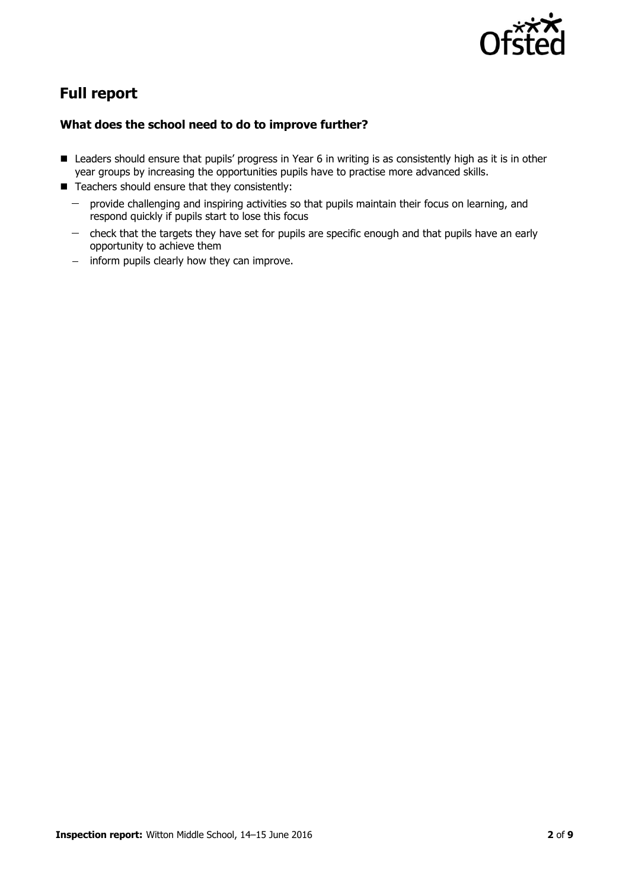

# **Full report**

### **What does the school need to do to improve further?**

- Leaders should ensure that pupils' progress in Year 6 in writing is as consistently high as it is in other year groups by increasing the opportunities pupils have to practise more advanced skills.
- $\blacksquare$  Teachers should ensure that they consistently:
	- provide challenging and inspiring activities so that pupils maintain their focus on learning, and  $\frac{1}{2}$ respond quickly if pupils start to lose this focus
	- check that the targets they have set for pupils are specific enough and that pupils have an early  $\frac{1}{2}$ opportunity to achieve them
	- inform pupils clearly how they can improve.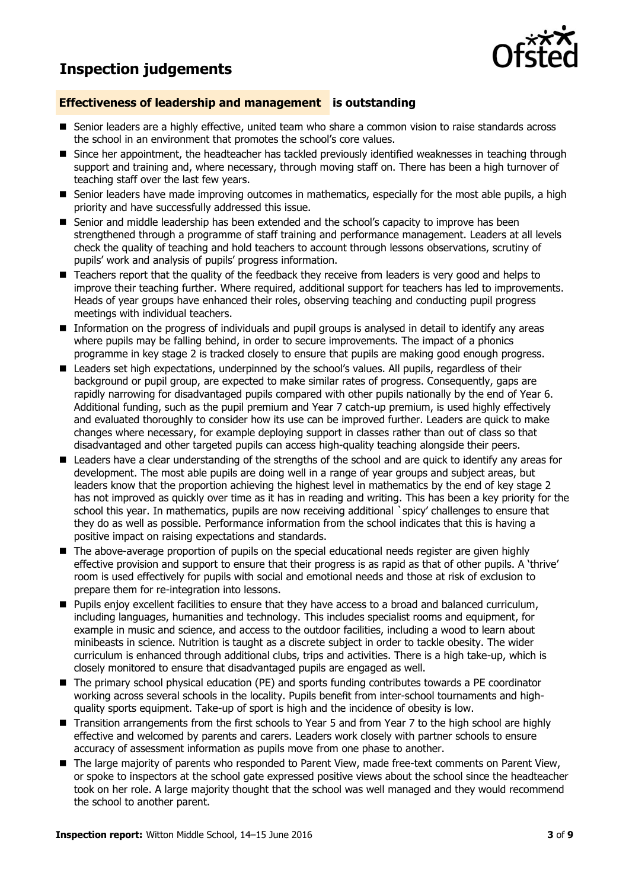### **Inspection judgements**



### **Effectiveness of leadership and management is outstanding**

- Senior leaders are a highly effective, united team who share a common vision to raise standards across the school in an environment that promotes the school's core values.
- Since her appointment, the headteacher has tackled previously identified weaknesses in teaching through support and training and, where necessary, through moving staff on. There has been a high turnover of teaching staff over the last few years.
- **Senior leaders have made improving outcomes in mathematics, especially for the most able pupils, a high** priority and have successfully addressed this issue.
- Senior and middle leadership has been extended and the school's capacity to improve has been strengthened through a programme of staff training and performance management. Leaders at all levels check the quality of teaching and hold teachers to account through lessons observations, scrutiny of pupils' work and analysis of pupils' progress information.
- Teachers report that the quality of the feedback they receive from leaders is very good and helps to improve their teaching further. Where required, additional support for teachers has led to improvements. Heads of year groups have enhanced their roles, observing teaching and conducting pupil progress meetings with individual teachers.
- **Information on the progress of individuals and pupil groups is analysed in detail to identify any areas** where pupils may be falling behind, in order to secure improvements. The impact of a phonics programme in key stage 2 is tracked closely to ensure that pupils are making good enough progress.
- **Leaders set high expectations, underpinned by the school's values. All pupils, regardless of their** background or pupil group, are expected to make similar rates of progress. Consequently, gaps are rapidly narrowing for disadvantaged pupils compared with other pupils nationally by the end of Year 6. Additional funding, such as the pupil premium and Year 7 catch-up premium, is used highly effectively and evaluated thoroughly to consider how its use can be improved further. Leaders are quick to make changes where necessary, for example deploying support in classes rather than out of class so that disadvantaged and other targeted pupils can access high-quality teaching alongside their peers.
- Leaders have a clear understanding of the strengths of the school and are quick to identify any areas for development. The most able pupils are doing well in a range of year groups and subject areas, but leaders know that the proportion achieving the highest level in mathematics by the end of key stage 2 has not improved as quickly over time as it has in reading and writing. This has been a key priority for the school this year. In mathematics, pupils are now receiving additional `spicy' challenges to ensure that they do as well as possible. Performance information from the school indicates that this is having a positive impact on raising expectations and standards.
- The above-average proportion of pupils on the special educational needs register are given highly effective provision and support to ensure that their progress is as rapid as that of other pupils. A 'thrive' room is used effectively for pupils with social and emotional needs and those at risk of exclusion to prepare them for re-integration into lessons.
- **Pupils enjoy excellent facilities to ensure that they have access to a broad and balanced curriculum,** including languages, humanities and technology. This includes specialist rooms and equipment, for example in music and science, and access to the outdoor facilities, including a wood to learn about minibeasts in science. Nutrition is taught as a discrete subject in order to tackle obesity. The wider curriculum is enhanced through additional clubs, trips and activities. There is a high take-up, which is closely monitored to ensure that disadvantaged pupils are engaged as well.
- The primary school physical education (PE) and sports funding contributes towards a PE coordinator working across several schools in the locality. Pupils benefit from inter-school tournaments and highquality sports equipment. Take-up of sport is high and the incidence of obesity is low.
- Transition arrangements from the first schools to Year 5 and from Year 7 to the high school are highly effective and welcomed by parents and carers. Leaders work closely with partner schools to ensure accuracy of assessment information as pupils move from one phase to another.
- The large majority of parents who responded to Parent View, made free-text comments on Parent View, or spoke to inspectors at the school gate expressed positive views about the school since the headteacher took on her role. A large majority thought that the school was well managed and they would recommend the school to another parent.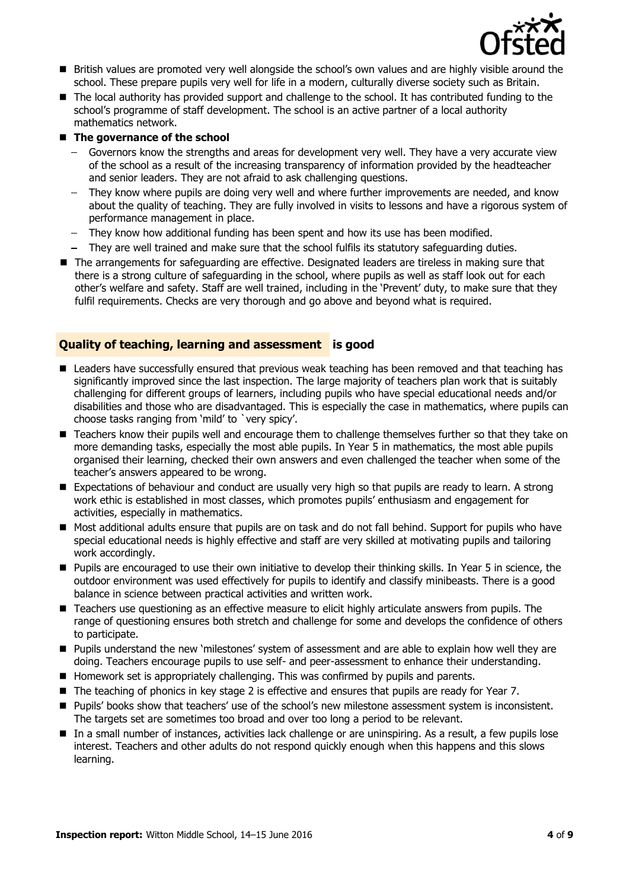

- British values are promoted very well alongside the school's own values and are highly visible around the school. These prepare pupils very well for life in a modern, culturally diverse society such as Britain.
- The local authority has provided support and challenge to the school. It has contributed funding to the school's programme of staff development. The school is an active partner of a local authority mathematics network.

### ■ The governance of the school

- Governors know the strengths and areas for development very well. They have a very accurate view of the school as a result of the increasing transparency of information provided by the headteacher and senior leaders. They are not afraid to ask challenging questions.
- $\equiv$ They know where pupils are doing very well and where further improvements are needed, and know about the quality of teaching. They are fully involved in visits to lessons and have a rigorous system of performance management in place.
- They know how additional funding has been spent and how its use has been modified.
- They are well trained and make sure that the school fulfils its statutory safeguarding duties.
- The arrangements for safeguarding are effective. Designated leaders are tireless in making sure that there is a strong culture of safeguarding in the school, where pupils as well as staff look out for each other's welfare and safety. Staff are well trained, including in the 'Prevent' duty, to make sure that they fulfil requirements. Checks are very thorough and go above and beyond what is required.

### **Quality of teaching, learning and assessment is good**

- **E** Leaders have successfully ensured that previous weak teaching has been removed and that teaching has significantly improved since the last inspection. The large majority of teachers plan work that is suitably challenging for different groups of learners, including pupils who have special educational needs and/or disabilities and those who are disadvantaged. This is especially the case in mathematics, where pupils can choose tasks ranging from 'mild' to `very spicy'.
- Teachers know their pupils well and encourage them to challenge themselves further so that they take on more demanding tasks, especially the most able pupils. In Year 5 in mathematics, the most able pupils organised their learning, checked their own answers and even challenged the teacher when some of the teacher's answers appeared to be wrong.
- Expectations of behaviour and conduct are usually very high so that pupils are ready to learn. A strong work ethic is established in most classes, which promotes pupils' enthusiasm and engagement for activities, especially in mathematics.
- Most additional adults ensure that pupils are on task and do not fall behind. Support for pupils who have special educational needs is highly effective and staff are very skilled at motivating pupils and tailoring work accordingly.
- Pupils are encouraged to use their own initiative to develop their thinking skills. In Year 5 in science, the outdoor environment was used effectively for pupils to identify and classify minibeasts. There is a good balance in science between practical activities and written work.
- Teachers use questioning as an effective measure to elicit highly articulate answers from pupils. The range of questioning ensures both stretch and challenge for some and develops the confidence of others to participate.
- **Pupils understand the new 'milestones' system of assessment and are able to explain how well they are** doing. Teachers encourage pupils to use self- and peer-assessment to enhance their understanding.
- Homework set is appropriately challenging. This was confirmed by pupils and parents.
- The teaching of phonics in key stage 2 is effective and ensures that pupils are ready for Year 7.
- **Pupils' books show that teachers' use of the school's new milestone assessment system is inconsistent.** The targets set are sometimes too broad and over too long a period to be relevant.
- In a small number of instances, activities lack challenge or are uninspiring. As a result, a few pupils lose interest. Teachers and other adults do not respond quickly enough when this happens and this slows learning.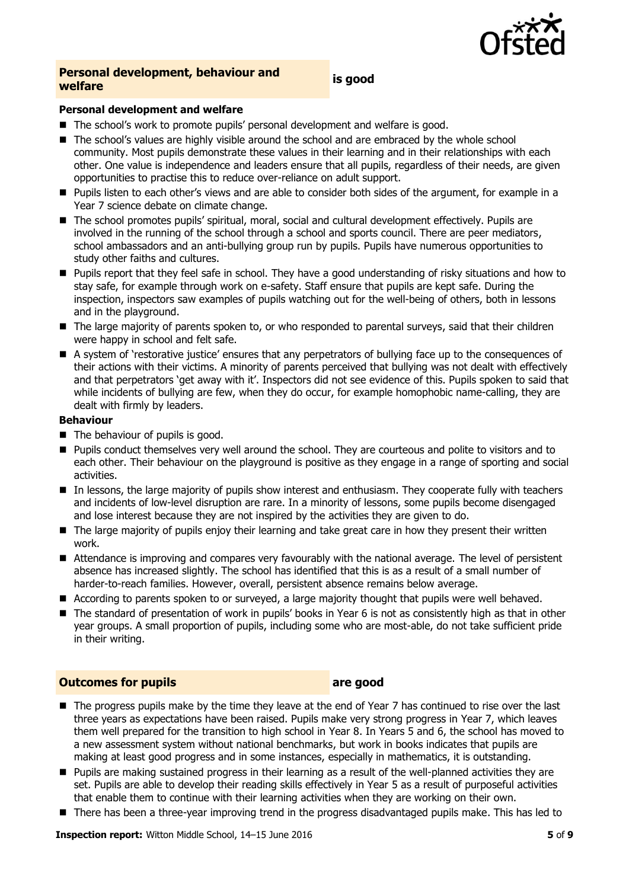

# **Personal development, behaviour and welfare is good**

### **Personal development and welfare**

- The school's work to promote pupils' personal development and welfare is good.
- The school's values are highly visible around the school and are embraced by the whole school community. Most pupils demonstrate these values in their learning and in their relationships with each other. One value is independence and leaders ensure that all pupils, regardless of their needs, are given opportunities to practise this to reduce over-reliance on adult support.
- **Pupils listen to each other's views and are able to consider both sides of the argument, for example in a** Year 7 science debate on climate change.
- The school promotes pupils' spiritual, moral, social and cultural development effectively. Pupils are involved in the running of the school through a school and sports council. There are peer mediators, school ambassadors and an anti-bullying group run by pupils. Pupils have numerous opportunities to study other faiths and cultures.
- Pupils report that they feel safe in school. They have a good understanding of risky situations and how to stay safe, for example through work on e-safety. Staff ensure that pupils are kept safe. During the inspection, inspectors saw examples of pupils watching out for the well-being of others, both in lessons and in the playground.
- The large majority of parents spoken to, or who responded to parental surveys, said that their children were happy in school and felt safe.
- A system of 'restorative justice' ensures that any perpetrators of bullying face up to the consequences of their actions with their victims. A minority of parents perceived that bullying was not dealt with effectively and that perpetrators 'get away with it'. Inspectors did not see evidence of this. Pupils spoken to said that while incidents of bullying are few, when they do occur, for example homophobic name-calling, they are dealt with firmly by leaders.

### **Behaviour**

- The behaviour of pupils is good.
- **Pupils conduct themselves very well around the school. They are courteous and polite to visitors and to** each other. Their behaviour on the playground is positive as they engage in a range of sporting and social activities.
- In lessons, the large majority of pupils show interest and enthusiasm. They cooperate fully with teachers and incidents of low-level disruption are rare. In a minority of lessons, some pupils become disengaged and lose interest because they are not inspired by the activities they are given to do.
- **The large majority of pupils enjoy their learning and take great care in how they present their written** work.
- Attendance is improving and compares very favourably with the national average. The level of persistent absence has increased slightly. The school has identified that this is as a result of a small number of harder-to-reach families. However, overall, persistent absence remains below average.
- According to parents spoken to or surveyed, a large majority thought that pupils were well behaved.
- The standard of presentation of work in pupils' books in Year 6 is not as consistently high as that in other year groups. A small proportion of pupils, including some who are most-able, do not take sufficient pride in their writing.

### **Outcomes for pupils are good**

- The progress pupils make by the time they leave at the end of Year 7 has continued to rise over the last three years as expectations have been raised. Pupils make very strong progress in Year 7, which leaves them well prepared for the transition to high school in Year 8. In Years 5 and 6, the school has moved to a new assessment system without national benchmarks, but work in books indicates that pupils are making at least good progress and in some instances, especially in mathematics, it is outstanding.
- **Pupils are making sustained progress in their learning as a result of the well-planned activities they are** set. Pupils are able to develop their reading skills effectively in Year 5 as a result of purposeful activities that enable them to continue with their learning activities when they are working on their own.
- There has been a three-year improving trend in the progress disadvantaged pupils make. This has led to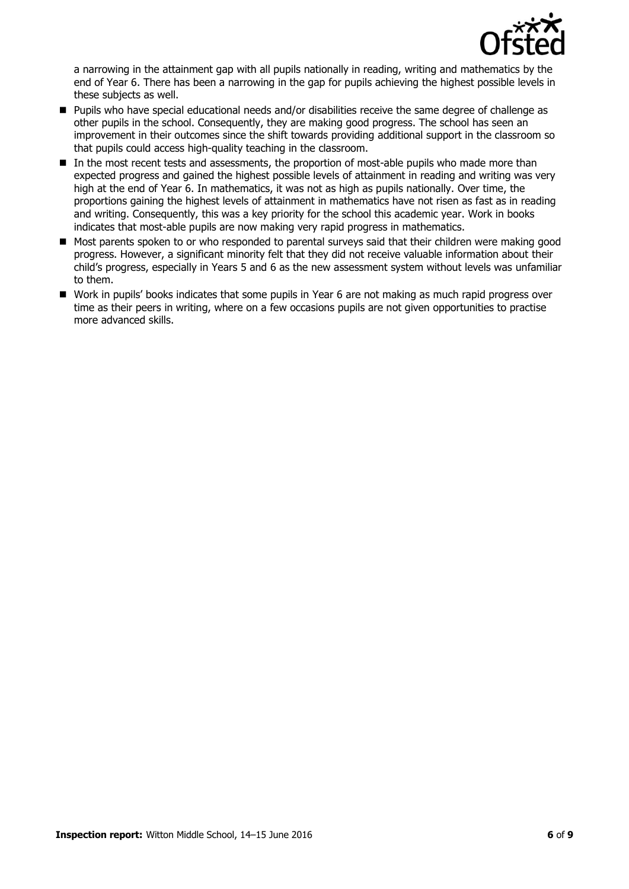

a narrowing in the attainment gap with all pupils nationally in reading, writing and mathematics by the end of Year 6. There has been a narrowing in the gap for pupils achieving the highest possible levels in these subjects as well.

- **Pupils who have special educational needs and/or disabilities receive the same degree of challenge as** other pupils in the school. Consequently, they are making good progress. The school has seen an improvement in their outcomes since the shift towards providing additional support in the classroom so that pupils could access high-quality teaching in the classroom.
- In the most recent tests and assessments, the proportion of most-able pupils who made more than expected progress and gained the highest possible levels of attainment in reading and writing was very high at the end of Year 6. In mathematics, it was not as high as pupils nationally. Over time, the proportions gaining the highest levels of attainment in mathematics have not risen as fast as in reading and writing. Consequently, this was a key priority for the school this academic year. Work in books indicates that most-able pupils are now making very rapid progress in mathematics.
- Most parents spoken to or who responded to parental surveys said that their children were making good progress. However, a significant minority felt that they did not receive valuable information about their child's progress, especially in Years 5 and 6 as the new assessment system without levels was unfamiliar to them.
- Work in pupils' books indicates that some pupils in Year 6 are not making as much rapid progress over time as their peers in writing, where on a few occasions pupils are not given opportunities to practise more advanced skills.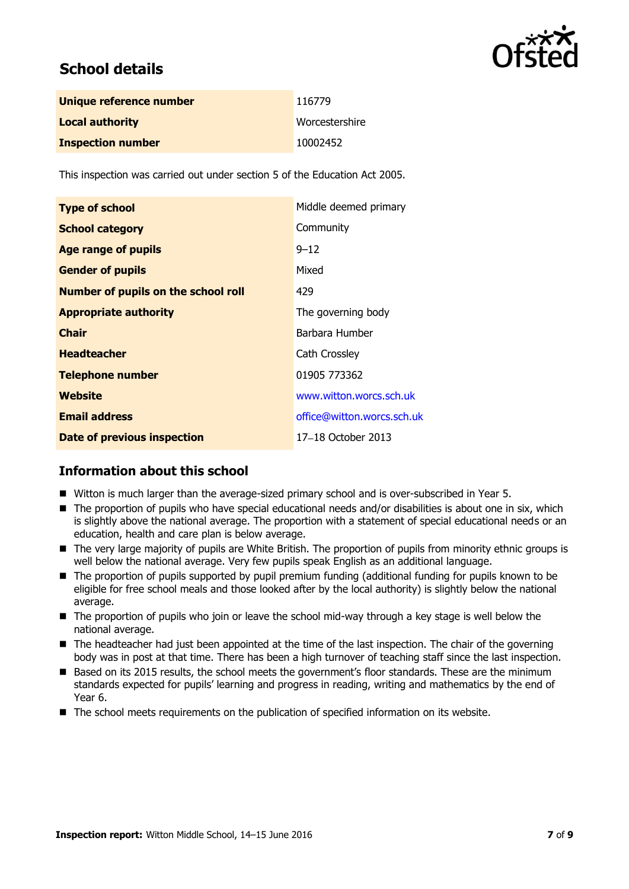

## **School details**

| Unique reference number  | 116779         |
|--------------------------|----------------|
| <b>Local authority</b>   | Worcestershire |
| <b>Inspection number</b> | 10002452       |

This inspection was carried out under section 5 of the Education Act 2005.

| <b>Type of school</b>                      | Middle deemed primary      |
|--------------------------------------------|----------------------------|
| <b>School category</b>                     | Community                  |
| <b>Age range of pupils</b>                 | $9 - 12$                   |
| <b>Gender of pupils</b>                    | Mixed                      |
| <b>Number of pupils on the school roll</b> | 429                        |
| <b>Appropriate authority</b>               | The governing body         |
| <b>Chair</b>                               | Barbara Humber             |
| <b>Headteacher</b>                         | Cath Crossley              |
| <b>Telephone number</b>                    | 01905 773362               |
| Website                                    | www.witton.worcs.sch.uk    |
| <b>Email address</b>                       | office@witton.worcs.sch.uk |
| Date of previous inspection                | 17-18 October 2013         |

### **Information about this school**

- Witton is much larger than the average-sized primary school and is over-subscribed in Year 5.
- The proportion of pupils who have special educational needs and/or disabilities is about one in six, which is slightly above the national average. The proportion with a statement of special educational needs or an education, health and care plan is below average.
- The very large majority of pupils are White British. The proportion of pupils from minority ethnic groups is well below the national average. Very few pupils speak English as an additional language.
- The proportion of pupils supported by pupil premium funding (additional funding for pupils known to be eligible for free school meals and those looked after by the local authority) is slightly below the national average.
- The proportion of pupils who join or leave the school mid-way through a key stage is well below the national average.
- The headteacher had just been appointed at the time of the last inspection. The chair of the governing body was in post at that time. There has been a high turnover of teaching staff since the last inspection.
- Based on its 2015 results, the school meets the government's floor standards. These are the minimum standards expected for pupils' learning and progress in reading, writing and mathematics by the end of Year 6.
- The school meets requirements on the publication of specified information on its website.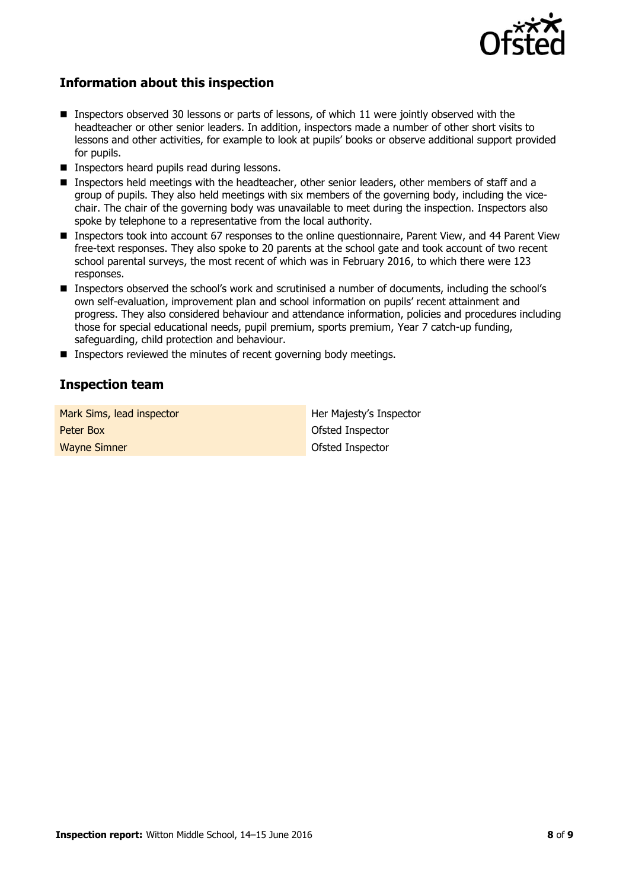

### **Information about this inspection**

- Inspectors observed 30 lessons or parts of lessons, of which 11 were jointly observed with the headteacher or other senior leaders. In addition, inspectors made a number of other short visits to lessons and other activities, for example to look at pupils' books or observe additional support provided for pupils.
- **Inspectors heard pupils read during lessons.**
- Inspectors held meetings with the headteacher, other senior leaders, other members of staff and a group of pupils. They also held meetings with six members of the governing body, including the vicechair. The chair of the governing body was unavailable to meet during the inspection. Inspectors also spoke by telephone to a representative from the local authority.
- Inspectors took into account 67 responses to the online questionnaire, Parent View, and 44 Parent View free-text responses. They also spoke to 20 parents at the school gate and took account of two recent school parental surveys, the most recent of which was in February 2016, to which there were 123 responses.
- **Inspectors observed the school's work and scrutinised a number of documents, including the school's** own self-evaluation, improvement plan and school information on pupils' recent attainment and progress. They also considered behaviour and attendance information, policies and procedures including those for special educational needs, pupil premium, sports premium, Year 7 catch-up funding, safeguarding, child protection and behaviour.
- **Inspectors reviewed the minutes of recent governing body meetings.**

### **Inspection team**

| Mark Sims, lead inspector | Her Majesty's Inspector |
|---------------------------|-------------------------|
| Peter Box                 | Ofsted Inspector        |
| <b>Wayne Simner</b>       | Ofsted Inspector        |